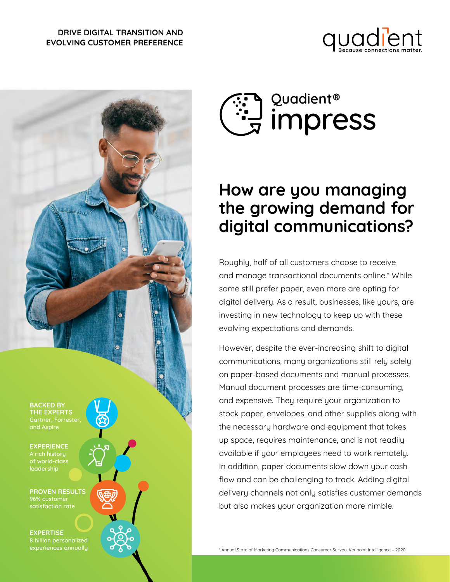#### **DRIVE DIGITAL TRANSITION AND EVOLVING CUSTOMER PREFERENCE**







# **How are you managing the growing demand for digital communications?**

Roughly, half of all customers choose to receive and manage transactional documents online.\* While some still prefer paper, even more are opting for digital delivery. As a result, businesses, like yours, are investing in new technology to keep up with these evolving expectations and demands.

However, despite the ever-increasing shift to digital communications, many organizations still rely solely on paper-based documents and manual processes. Manual document processes are time-consuming, and expensive. They require your organization to stock paper, envelopes, and other supplies along with the necessary hardware and equipment that takes up space, requires maintenance, and is not readily available if your employees need to work remotely. In addition, paper documents slow down your cash flow and can be challenging to track. Adding digital delivery channels not only satisfies customer demands but also makes your organization more nimble.

\* Annual State of Marketing Communications Consumer Survey, Keypoint Intelligence – 2020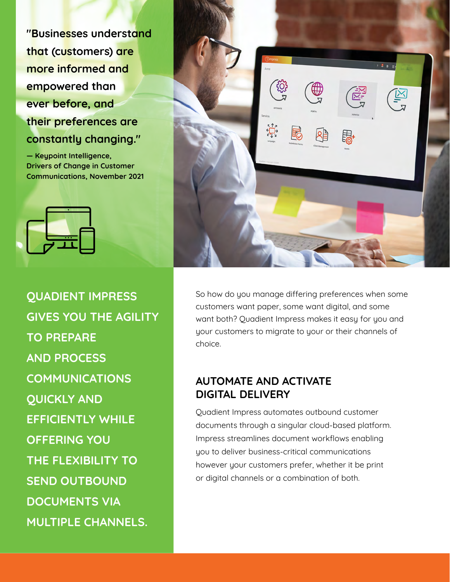**"Businesses understand that (customers) are more informed and empowered than ever before, and their preferences are constantly changing."** 

**— Keypoint Intelligence, Drivers of Change in Customer Communications, November 2021**





**QUADIENT IMPRESS GIVES YOU THE AGILITY TO PREPARE AND PROCESS COMMUNICATIONS QUICKLY AND EFFICIENTLY WHILE OFFERING YOU THE FLEXIBILITY TO SEND OUTBOUND DOCUMENTS VIA MULTIPLE CHANNELS.** 

So how do you manage differing preferences when some customers want paper, some want digital, and some want both? Quadient Impress makes it easy for you and your customers to migrate to your or their channels of choice.

### **AUTOMATE AND ACTIVATE DIGITAL DELIVERY**

Quadient Impress automates outbound customer documents through a singular cloud-based platform. Impress streamlines document workflows enabling you to deliver business-critical communications however your customers prefer, whether it be print or digital channels or a combination of both.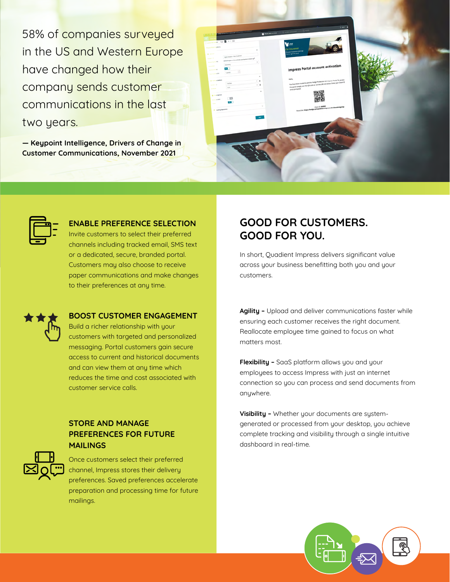58% of companies surveyed in the US and Western Europe have changed how their company sends customer communications in the last two years.

**— Keypoint Intelligence, Drivers of Change in Customer Communications, November 2021**

| -<br>Concessions   Apr   111   12<br>Postal Mail College<br>$\boldsymbol{\kappa}$<br><b>Blackwood</b><br>bgs status sectionnel<br>Sapt. 0<br>putant king by the Great Settate and Northwest Infant at<br>Associate of the OW-<br>$\scriptstyle\rm s$<br><b>Walleng</b><br><b>Cash carried</b><br>ш | $7 - 1$<br>$\begin{array}{l} \bullet \text{ whenever } \quad \mathbb{R} \text{ is a finite.} \end{array}$<br><b>V=</b><br>Car Insurance<br>Doese inspirace coverage<br>that's right for you!<br><b>Impress Portal account activation</b>                                          |  |
|----------------------------------------------------------------------------------------------------------------------------------------------------------------------------------------------------------------------------------------------------------------------------------------------------|-----------------------------------------------------------------------------------------------------------------------------------------------------------------------------------------------------------------------------------------------------------------------------------|--|
| <b>Send to and the F</b><br>Lystill<br>the property of the<br>$\sim$<br><b>B</b> Interpretable<br>$-4$<br>rates<br>$-4$<br>gase 0<br>note<br><b>SAMPLE</b><br>$\boldsymbol{\mu}$<br><b>Q. Longbarn</b><br>$\Box$<br>$-1000$<br>o.<br><b>Card</b><br>$\sim$<br>P. Landing Spanishers                | You have been invited to join the Hodge Production UK respress Portul. To access<br>the portal simply stain the QR code or vise the URL Lok below. Enter your Client ID<br>group groungsed.<br>Class D. 00002<br>Portal link: borge://bodge.prik.guadient-impress.uk/uSamyWolgsOp |  |
| <b>MAY</b>                                                                                                                                                                                                                                                                                         |                                                                                                                                                                                                                                                                                   |  |
|                                                                                                                                                                                                                                                                                                    |                                                                                                                                                                                                                                                                                   |  |



#### **ENABLE PREFERENCE SELECTION**

Invite customers to select their preferred channels including tracked email, SMS text or a dedicated, secure, branded portal. Customers may also choose to receive paper communications and make changes to their preferences at any time.



#### **BOOST CUSTOMER ENGAGEMENT**

Build a richer relationship with your customers with targeted and personalized messaging. Portal customers gain secure access to current and historical documents and can view them at any time which reduces the time and cost associated with customer service calls.

#### **STORE AND MANAGE PREFERENCES FOR FUTURE MAILINGS**



Once customers select their preferred channel, Impress stores their delivery preferences. Saved preferences accelerate preparation and processing time for future mailings.

### **GOOD FOR CUSTOMERS. GOOD FOR YOU.**

In short, Quadient Impress delivers significant value across your business benefitting both you and your customers.

**Agility –** Upload and deliver communications faster while ensuring each customer receives the right document. Reallocate employee time gained to focus on what matters most.

**Flexibility –** SaaS platform allows you and your employees to access Impress with just an internet connection so you can process and send documents from anywhere.

**Visibility –** Whether your documents are systemgenerated or processed from your desktop, you achieve complete tracking and visibility through a single intuitive dashboard in real-time.